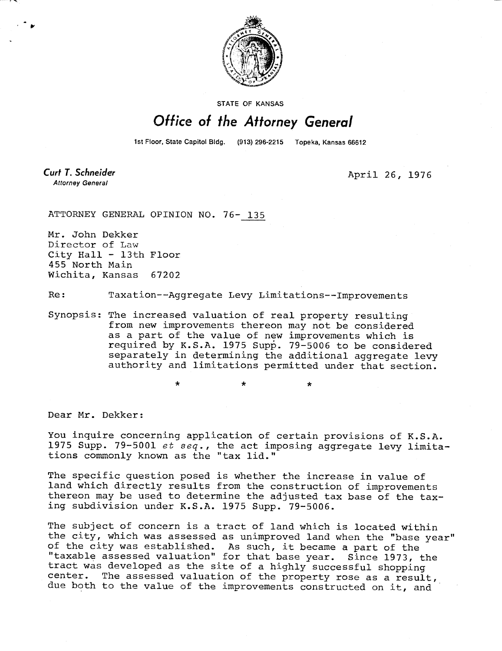

STATE OF KANSAS

## Office of the Attorney General

1st Floor, State Capitol Bldg. (913) 296-2215 Topeka, Kansas 66612

Curt T. Schneider **Attorney General** 

April 26, 1976

ATTORNEY GENERAL OPINION NO. 76- 135

÷

Mr. John Dekker Director of Law City Hall - 13th Floor 455 North Main Wichita, Kansas 67202

Re: Taxation--Aggregate Levy Limitations--Improvements

Synopsis: The increased valuation of real property resulting from new improvements thereon may not be considered as a part of the value of new improvements which is required by K.S.A. 1975 Supp. 79-5006 to be considered separately in determining the additional aggregate levy authority and limitations permitted under that section.

\* \*

Dear Mr. Dekker:

You inquire concerning application of certain provisions of K.S.A. 1975 Supp. 79-5001 et seq., the act imposing aggregate levy limitations commonly known as the "tax lid."

The specific question posed is whether the increase in value of land which directly results from the construction of improvements thereon may be used to determine the adjusted tax base of the taxing subdivision under K.S.A. 1975 Supp. 79-5006.

The subject of concern is a tract of land which is located within the city, which was assessed as unimproved land when the "base year" of the city was established. As such, it became a part of the "taxable assessed valuation" for that base year. Since 1973, the tract was developed as the site of a highly successful shopping center. The assessed valuation of the property rose as a result, due both to the value of the improvements constructed on it, and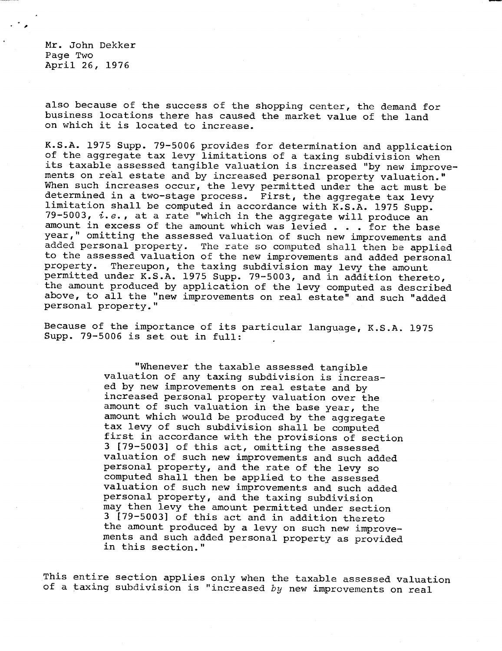Mr. John Dekker Page Two April 26, 1976

also because of the success of the shopping center, the demand for business locations there has caused the market value of the land on which it is located to increase.

K.S.A. 1975 Supp. 79-5006 provides for determination and application of the aggregate tax levy limitations of a taxing subdivision when its taxable assessed tangible valuation is increased "by new improvements on real estate and by increased personal property valuation." When such increases occur, the levy permitted under the act must be determined in a two-stage process. First, the aggregate tax levy limitation shall be computed in accordance with K.S.A. 1975 Supp. 79-5003,  $i.e.,$  at a rate "which in the aggregate will produce an amount in excess of the amount which was levied . . . for the base year," omitting the assessed valuation of such new improvements and added personal property. The rate so computed shall then be applied to the assessed valuation of the new improvements and added personal property. Thereupon, the taxing subdivision may levy the amount Thereupon, the taxing subdivision may levy the amount permitted under K.S.A. 1975 Supp. 79-5003, and in addition thereto, the amount produced by application of the levy computed as described above, to all the "new improvements on real estate" and such "added personal property."

Because of the importance of its particular language, K.S.A. 1975 Supp. 79-5006 is set out in full:

> "Whenever the taxable assessed tangible valuation of any taxing subdivision is increased by new improvements on real estate and by increased personal property valuation over the amount of such valuation in the base year, the amount which would be produced by the aggregate tax levy of such subdivision shall be computed first in accordance with the provisions of section 3 [79-5003] of this act, omitting the assessed valuation of such new improvements and such added personal property, and the rate of the levy so computed shall then be applied to the assessed valuation of such new improvements and such added personal property, and the taxing subdivision may then levy the amount permitted under section 3 [79-5003] of this act and in addition thereto the amount produced by a levy on such new improvements and such added personal property as provided in this section."

This entire section applies only when the taxable assessed valuation of a taxing subdivision is "increased  $by$  new improvements on real